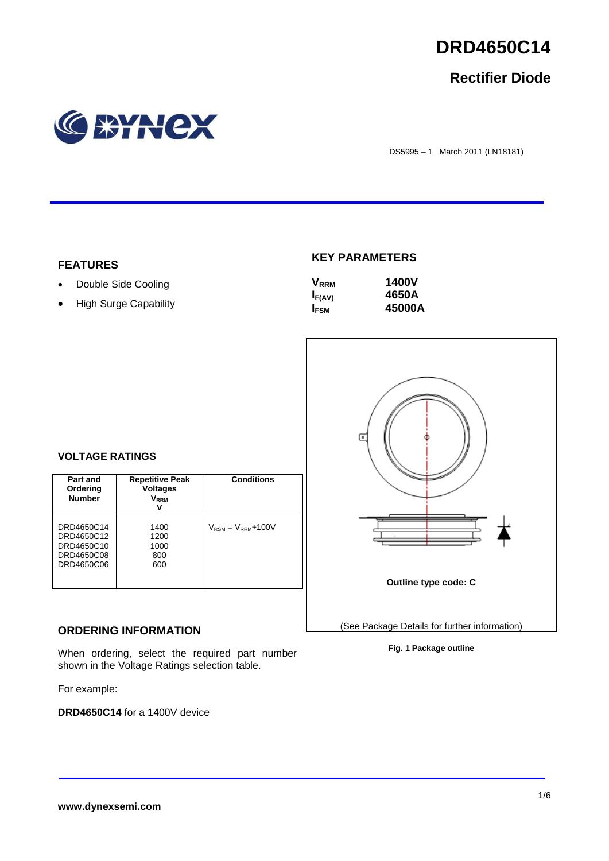

## **Rectifier Diode**



DS5995 – 1 March 2011 (LN18181)

#### **FEATURES**

- Double Side Cooling
- High Surge Capability

### **KEY PARAMETERS**

| $\mathsf{V}_{\mathsf{RRM}}$ | <b>1400V</b> |
|-----------------------------|--------------|
| $I_{F(AV)}$                 | 4650A        |
| I <sub>FSM</sub>            | 45000A       |



#### **VOLTAGE RATINGS**

| Part and<br>Ordering<br><b>Number</b>                              | <b>Repetitive Peak</b><br><b>Voltages</b><br>$\mathsf{V}_\mathsf{RRM}$<br>v | <b>Conditions</b>                        |
|--------------------------------------------------------------------|-----------------------------------------------------------------------------|------------------------------------------|
| DRD4650C14<br>DRD4650C12<br>DRD4650C10<br>DRD4650C08<br>DRD4650C06 | 1400<br>1200<br>1000<br>800<br>600                                          | $V_{\text{RSM}} = V_{\text{RRM}} + 100V$ |

#### **ORDERING INFORMATION**

When ordering, select the required part number shown in the Voltage Ratings selection table.

For example:

**DRD4650C14** for a 1400V device

**Fig. 1 Package outline**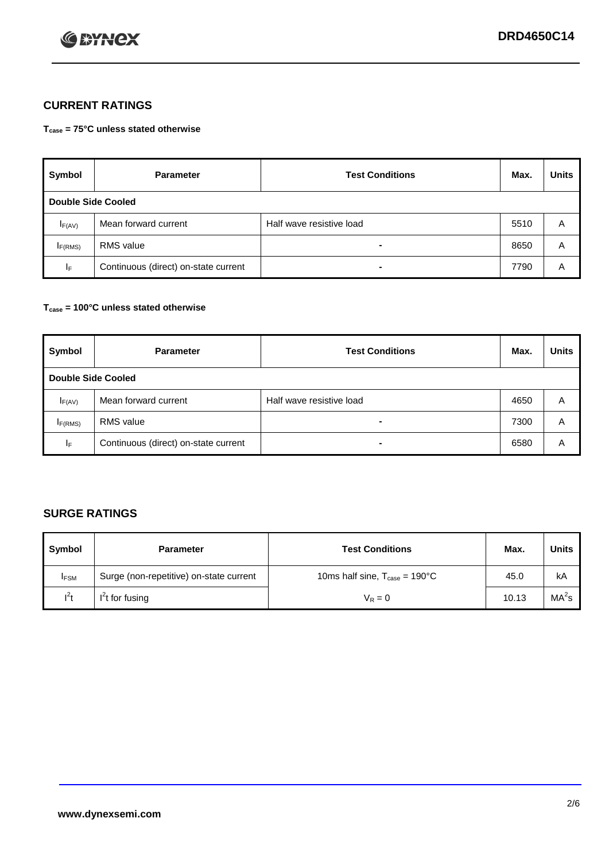

### **CURRENT RATINGS**

**Tcase = 75°C unless stated otherwise**

| Symbol              | <b>Parameter</b>                     | <b>Test Conditions</b>   | Max. | <b>Units</b> |  |  |
|---------------------|--------------------------------------|--------------------------|------|--------------|--|--|
|                     | Double Side Cooled                   |                          |      |              |  |  |
| $I_{F(AV)}$         | Mean forward current                 | Half wave resistive load | 5510 | A            |  |  |
| I <sub>F(RMS)</sub> | <b>RMS</b> value                     | -                        | 8650 | A            |  |  |
| IF.                 | Continuous (direct) on-state current | -                        | 7790 | Α            |  |  |

#### **Tcase = 100°C unless stated otherwise**

| Symbol              | <b>Parameter</b>                     | <b>Test Conditions</b>   | Max. | <b>Units</b> |  |  |
|---------------------|--------------------------------------|--------------------------|------|--------------|--|--|
|                     | <b>Double Side Cooled</b>            |                          |      |              |  |  |
| $I_{F(AV)}$         | Mean forward current                 | Half wave resistive load | 4650 | Α            |  |  |
| I <sub>F(RMS)</sub> | <b>RMS</b> value                     | $\overline{\phantom{0}}$ | 7300 | A            |  |  |
| IF                  | Continuous (direct) on-state current | ۰                        | 6580 | A            |  |  |

### **SURGE RATINGS**

| Symbol      | <b>Parameter</b>                        | <b>Test Conditions</b>                            | Max.  | <b>Units</b>      |
|-------------|-----------------------------------------|---------------------------------------------------|-------|-------------------|
| <b>IFSM</b> | Surge (non-repetitive) on-state current | 10ms half sine, $T_{\text{case}} = 190^{\circ}$ C | 45.0  | kA                |
| $l^2t$      | I <sup>'</sup> t for fusing             | $V_R = 0$                                         | 10.13 | MA <sup>2</sup> s |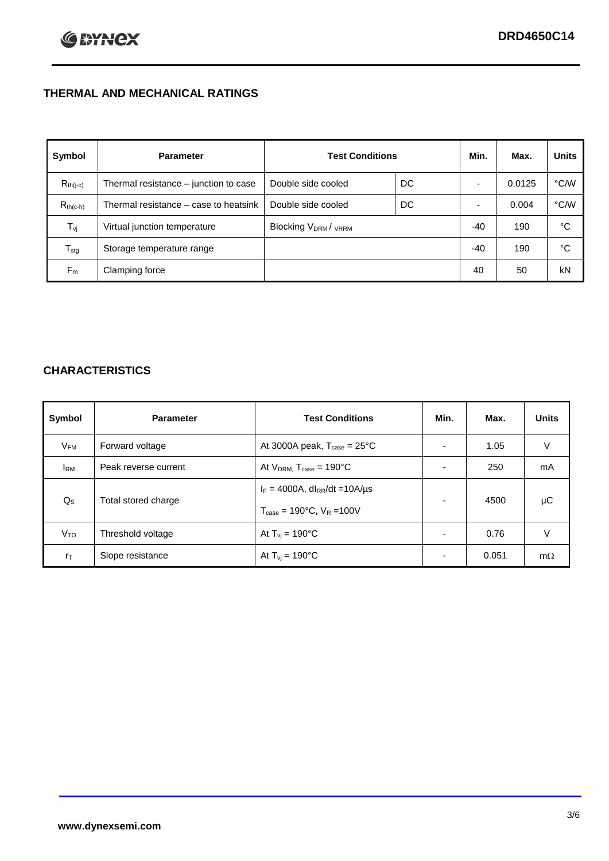### **THERMAL AND MECHANICAL RATINGS**

| Symbol           | <b>Parameter</b>                      | <b>Test Conditions</b>                      |    | Min.  | Max.   | <b>Units</b> |
|------------------|---------------------------------------|---------------------------------------------|----|-------|--------|--------------|
| $R_{th(j-c)}$    | Thermal resistance - junction to case | Double side cooled                          | DC |       | 0.0125 | °C/W         |
| $R_{th(c-h)}$    | Thermal resistance – case to heatsink | Double side cooled                          | DC |       | 0.004  | °C/W         |
| $T_{\rm vj}$     | Virtual junction temperature          | Blocking V <sub>DRM</sub> / <sub>VRRM</sub> |    | $-40$ | 190    | °C           |
| $T_{\text{stg}}$ | Storage temperature range             |                                             |    | $-40$ | 190    | °C           |
| $F_m$            | Clamping force                        |                                             |    | 40    | 50     | kN           |

### **CHARACTERISTICS**

| Symbol                   | <b>Parameter</b>     | <b>Test Conditions</b>                                                                           | Min.           | Max.  | <b>Units</b> |
|--------------------------|----------------------|--------------------------------------------------------------------------------------------------|----------------|-------|--------------|
| $\mathsf{V}_\mathsf{FM}$ | Forward voltage      | At 3000A peak, $T_{\text{case}} = 25^{\circ}C$                                                   |                | 1.05  | V            |
| <b>I</b> <sub>RM</sub>   | Peak reverse current | At $V_{DRM}$ , $T_{case} = 190^{\circ}C$                                                         | ۰              | 250   | mA           |
| $Q_{\rm S}$              | Total stored charge  | $I_F = 4000A$ , dl <sub>RR</sub> /dt = 10A/us<br>$T_{\text{case}} = 190^{\circ}$ C. $V_R = 100V$ | $\blacksquare$ | 4500  | μC           |
| V <sub>TO</sub>          | Threshold voltage    | At $T_{vi} = 190^{\circ}$ C                                                                      | $\blacksquare$ | 0.76  | V            |
| $r_{\text{T}}$           | Slope resistance     | At $T_{vi} = 190^{\circ}$ C                                                                      | ۰              | 0.051 | $m\Omega$    |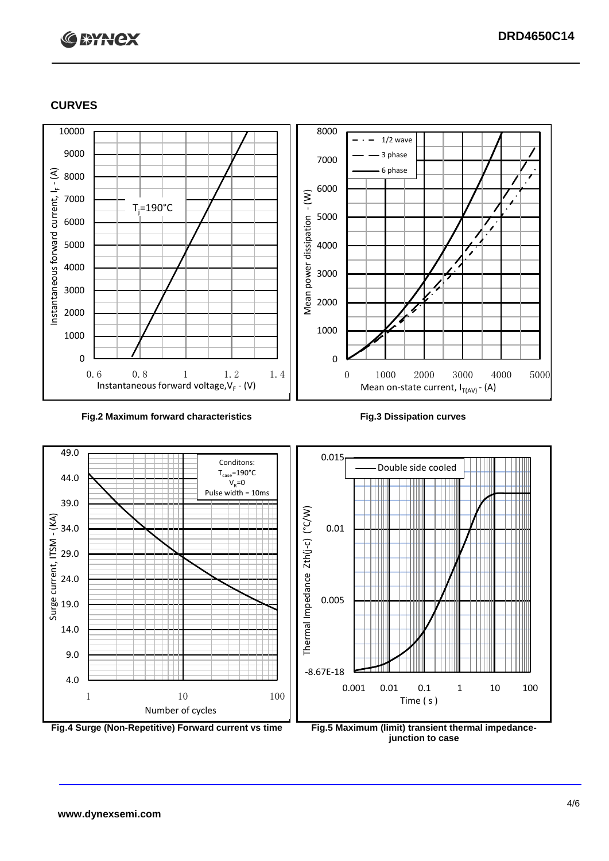# **C BYNCX**

#### **CURVES**





**junction to case**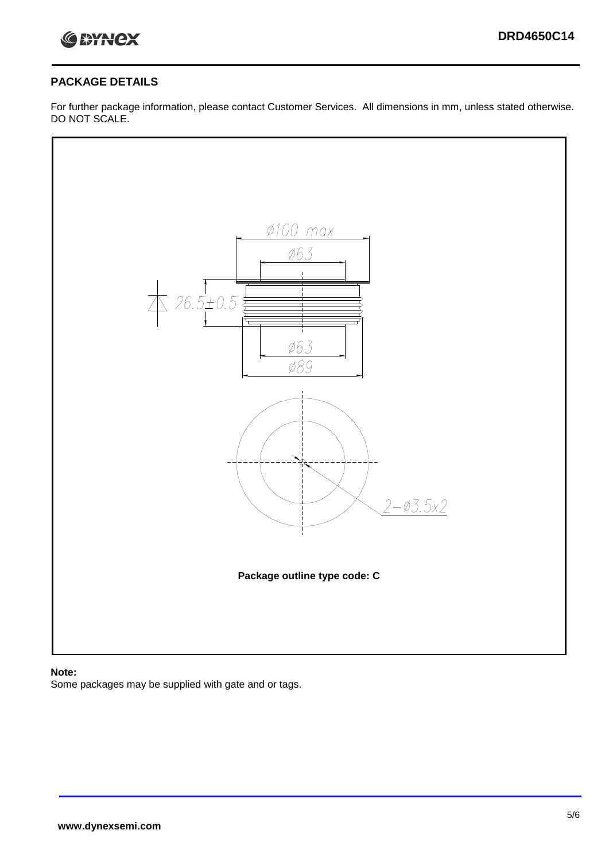

#### **PACKAGE DETAILS**

For further package information, please contact Customer Services. All dimensions in mm, unless stated otherwise. DO NOT SCALE.



#### **Note:**

Some packages may be supplied with gate and or tags.